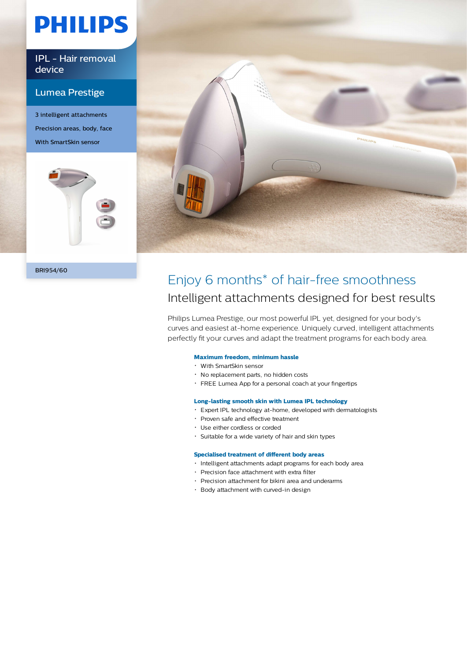# **PHILIPS**

IPL - Hair removal device

### Lumea Prestige

3 intelligent attachments Precision areas, body, face With SmartSkin sensor



BRI954/60



### Enjoy 6 months\* of hair-free smoothness Intelligent attachments designed for best results

Philips Lumea Prestige, our most powerful IPL yet, designed for your body's curves and easiest at-home experience. Uniquely curved, intelligent attachments perfectly fit your curves and adapt the treatment programs for each body area.

#### **Maximum freedom, minimum hassle**

- With SmartSkin sensor
- No replacement parts, no hidden costs
- FREE Lumea App for a personal coach at your fingertips

#### **Long-lasting smooth skin with Lumea IPL technology**

- Expert IPL technology at-home, developed with dermatologists
- Proven safe and effective treatment
- Use either cordless or corded
- Suitable for a wide variety of hair and skin types

#### **Specialised treatment of different body areas**

- Intelligent attachments adapt programs for each body area
- Precision face attachment with extra filter
- Precision attachment for bikini area and underarms
- Body attachment with curved-in design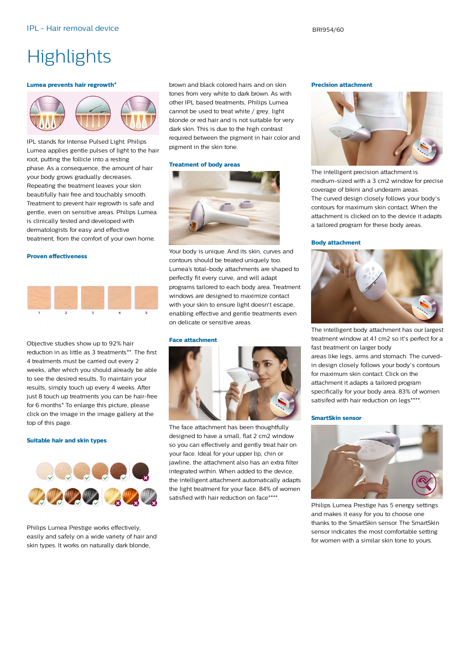## **Highlights**

#### **Lumea prevents hair regrowth\***



IPL stands for Intense Pulsed Light. Philips Lumea applies gentle pulses of light to the hair root, putting the follicle into a resting phase. As a consequence, the amount of hair your body grows gradually decreases. Repeating the treatment leaves your skin beautifully hair free and touchably smooth. Treatment to prevent hair regrowth is safe and gentle, even on sensitive areas. Philips Lumea is clinically tested and developed with dermatologists for easy and effective treatment, from the comfort of your own home.

#### **Proven effectiveness**



Objective studies show up to 92% hair reduction in as little as 3 treatments\*\*. The first 4 treatments must be carried out every 2 weeks, after which you should already be able to see the desired results. To maintain your results, simply touch up every 4 weeks. After just 8 touch up treatments you can be hair-free for 6 months\* To enlarge this picture, please click on the image in the image gallery at the top of this page.

#### **Suitable hair and skin types**



Philips Lumea Prestige works effectively, easily and safely on a wide variety of hair and skin types. It works on naturally dark blonde,

brown and black colored hairs and on skin tones from very white to dark brown. As with other IPL based treatments, Philips Lumea cannot be used to treat white / grey, light blonde or red hair and is not suitable for very dark skin. This is due to the high contrast required between the pigment in hair color and pigment in the skin tone.

#### **Treatment of body areas**



Your body is unique. And its skin, curves and contours should be treated uniquely too. Lumea's total-body attachments are shaped to perfectly fit every curve, and will adapt programs tailored to each body area. Treatment windows are designed to maximize contact with your skin to ensure light doesn't escape. enabling effective and gentle treatments even on delicate or sensitive areas.

#### **Face attachment**



The face attachment has been thoughtfully designed to have a small, flat 2 cm2 window so you can effectively and gently treat hair on your face. Ideal for your upper lip, chin or jawline, the attachment also has an extra filter integrated within. When added to the device, the intelligent attachment automatically adapts the light treatment for your face. 84% of women satisfied with hair reduction on face\*\*\*\*.

#### **Precision attachment**



The intelligent precision attachment is medium-sized with a 3 cm2 window for precise coverage of bikini and underarm areas. The curved design closely follows your body's contours for maximum skin contact. When the attachment is clicked on to the device it adapts a tailored program for these body areas.

#### **Body attachment**



The intelligent body attachment has our largest treatment window at 4.1 cm2 so it's perfect for a fast treatment on larger body areas like legs, arms and stomach. The curvedin design closely follows your body's contours for maximum skin contact. Click on the attachment it adapts a tailored program specifically for your body area. 83% of women satisifed with hair reduction on legs\*\*\*\*.

#### **SmartSkin sensor**



Philips Lumea Prestige has 5 energy settings and makes it easy for you to choose one thanks to the SmartSkin sensor. The SmartSkin sensor indicates the most comfortable setting for women with a similar skin tone to yours.